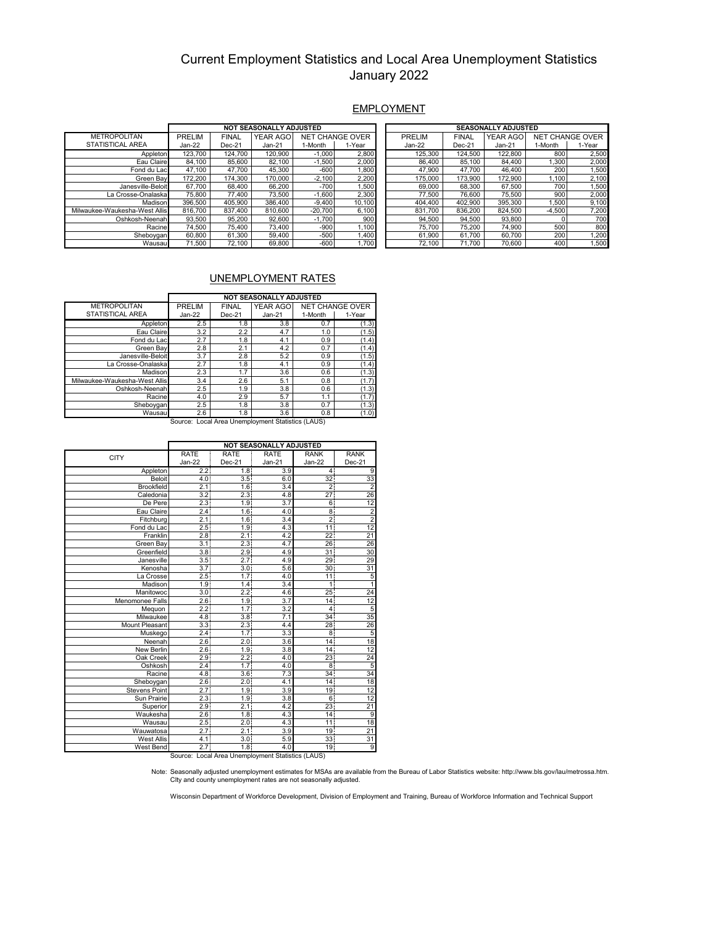### Current Employment Statistics and Local Area Unemployment Statistics January 2022

#### **EMPLOYMENT**

|                               | <b>NOT SEASONALLY ADJUSTED</b> |              |                 |           |                        |  | <b>SEASONALLY ADJUSTED</b> |              |                 |          |                        |  |
|-------------------------------|--------------------------------|--------------|-----------------|-----------|------------------------|--|----------------------------|--------------|-----------------|----------|------------------------|--|
| <b>METROPOLITAN</b>           | PRELIM                         | <b>FINAL</b> | <b>YEAR AGO</b> |           | <b>NET CHANGE OVER</b> |  | <b>PRELIM</b>              | <b>FINAL</b> | <b>YEAR AGO</b> |          | <b>NET CHANGE OVER</b> |  |
| <b>STATISTICAL AREA</b>       | $Jan-22$                       | $Dec-21$     | Jan-21          | 1-Month   | 1-Year                 |  | Jan-22                     | $Dec-21$     | $Jan-21$        | 1-Month  | 1-Year                 |  |
| Appleton                      | 123.700                        | 124.700      | 120.900         | $-1.000$  | 2,800                  |  | 125.300                    | 124.500      | 122.800         | 800      | 2,500                  |  |
| Eau Claire                    | 84.100                         | 85.600       | 82.100          | $-1.500$  | 2,000                  |  | 86.400                     | 85.100       | 84.400          | 1.300    | 2,000                  |  |
| Fond du Lac                   | 47.100                         | 47.700       | 45,300          | $-600$    | ,800                   |  | 47.900                     | 47.700       | 46.400          | 200      | 1,500                  |  |
| Green Bav                     | 172.200                        | 174.300      | 170,000         | $-2,100$  | 2,200                  |  | 175,000                    | 173.900      | 172.900         | 1.100    | 2,100                  |  |
| Janesville-Beloit             | 67.700                         | 68.400       | 66,200          | $-700$    | .500                   |  | 69.000                     | 68,300       | 67.500          | 700      | ,500                   |  |
| La Crosse-Onalaska l          | 75,800                         | 77.400       | 73.500          | $-1.600$  | 2,300                  |  | 77.500                     | 76,600       | 75.500          | 900      | 2,000                  |  |
| Madison                       | 396,500                        | 405.900      | 386.400         | $-9,400$  | 10.100                 |  | 404.400                    | 402.900      | 395.300         | 1.500    | 9,100                  |  |
| Milwaukee-Waukesha-West Allis | 816,700                        | 837.400      | 810.600         | $-20,700$ | 6,100                  |  | 831.700                    | 836.200      | 824.500         | $-4.500$ | 7,200                  |  |
| Oshkosh-Neenah                | 93.500                         | 95.200       | 92.600          | $-1.700$  | 900                    |  | 94,500                     | 94.500       | 93.800          |          | 700                    |  |
| Racine                        | 74.500                         | 75.400       | 73,400          | $-900$    | ,100                   |  | 75.700                     | 75.200       | 74.900          | 500      | 800                    |  |
| Sheboygan                     | 60.800                         | 61.300       | 59.400          | $-500$    | .400                   |  | 61,900                     | 61.700       | 60.700          | 200      | .200                   |  |
| Wausau                        | 71.500                         | 72.100       | 69.800          | $-600$    | ,700                   |  | 72.100                     | 71.700       | 70.600          | 400      | 1,500                  |  |

#### UNEMPLOYMENT RATES

|                                                   | <b>NOT SEASONALLY ADJUSTED</b> |              |                 |         |                        |  |  |
|---------------------------------------------------|--------------------------------|--------------|-----------------|---------|------------------------|--|--|
| <b>METROPOLITAN</b>                               | PRELIM                         | <b>FINAL</b> | <b>YEAR AGO</b> |         | <b>NET CHANGE OVER</b> |  |  |
| STATISTICAL AREA                                  | Jan-22                         | Dec-21       | $Jan-21$        | 1-Month | 1-Year                 |  |  |
| Appleton                                          | 2.5                            | 1.8          | 3.8             | 0.7     | (1.3)                  |  |  |
| Eau Claire                                        | 3.2                            | 2.2          | 4.7             | 1.0     | (1.5)                  |  |  |
| Fond du Lac                                       | 2.7                            | 1.8          | 4.1             | 0.9     | (1.4)                  |  |  |
| Green Bav                                         | 2.8                            | 2.1          | 4.2             | 0.7     | (1.4)                  |  |  |
| Janesville-Beloit                                 | 3.7                            | 2.8          | 5.2             | 0.9     | (1.5)                  |  |  |
| La Crosse-Onalaska                                | 2.7                            | 1.8          | 4.1             | 0.9     | (1.4)                  |  |  |
| Madison                                           | 2.3                            | 1.7          | 3.6             | 0.6     | (1.3)                  |  |  |
| Milwaukee-Waukesha-West Allis                     | 3.4                            | 2.6          | 5.1             | 0.8     | (1.7)                  |  |  |
| Oshkosh-Neenah                                    | 2.5                            | 1.9          | 3.8             | 0.6     | (1.3)                  |  |  |
| Racine                                            | 4.0                            | 2.9          | 5.7             | 1.1     | (1.7)                  |  |  |
| Sheboygan                                         | 2.5                            | 1.8          | 3.8             | 0.7     | (1.3)                  |  |  |
| Wausau                                            | 2.6                            | 1.8          | 3.6             | 0.8     | (1.0)                  |  |  |
| Source: Local Area Unemployment Statistics (LAUS) |                                |              |                 |         |                        |  |  |

|                   | <b>NOT SEASONALLY ADJUSTED</b> |                  |             |                |                |  |  |  |  |
|-------------------|--------------------------------|------------------|-------------|----------------|----------------|--|--|--|--|
| <b>CITY</b>       | <b>RATE</b>                    | <b>RATE</b>      | <b>RATE</b> | <b>RANK</b>    | <b>RANK</b>    |  |  |  |  |
|                   | Jan-22                         | Dec-21           | $Jan-21$    | Jan-22         | Dec-21         |  |  |  |  |
| Appleton          | 2.2                            | 1.8              | 3.9         | 4              | 9              |  |  |  |  |
| Beloit            | 4.0 <sup>1</sup>               | 3.5              | 6.0         | 32             | 33             |  |  |  |  |
| <b>Brookfield</b> | 2.1                            | 1.6              | 3.4         | $\overline{2}$ | $\overline{2}$ |  |  |  |  |
| Caledonia         | 3.2                            | 2.31             | 4.8         | 27             | 26             |  |  |  |  |
| De Pere           | 2.3                            | 1.91             | 3.7         | 6              | 12             |  |  |  |  |
| Eau Claire        | 2.4                            | 1.6              | 4.0         | 8              | $\frac{2}{2}$  |  |  |  |  |
| Fitchburg         | 2.1                            | 1.6              | 3.4         | $\overline{2}$ |                |  |  |  |  |
| Fond du Lac       | 2.5                            | 1.9              | 4.3         | 11             | 12             |  |  |  |  |
| Franklin          | 2.8                            | 2.1              | 4.2         | 22             | 21             |  |  |  |  |
| Green Bay         | 3.1                            | 2.3              | 4.7         | 26             | 26             |  |  |  |  |
| Greenfield        | 3.8 <sup>1</sup>               | 2.9              | 4.9         | 31             | 30             |  |  |  |  |
| Janesville        | 3.5                            | 2.7              | 4.9         | 29             | 29             |  |  |  |  |
| Kenosha           | 3.7 <sup>1</sup>               | 3.0 <sub>l</sub> | 5.6         | 30             | 31             |  |  |  |  |
| La Crosse         | 2.5                            | 1.7 <sup>1</sup> | 4.0         | 11             | 5              |  |  |  |  |
| Madison           | 1.9 <sub>1</sub>               | 1.4              | 3.4         | $\mathbf{1}$   | $\overline{1}$ |  |  |  |  |
| Manitowoc         | 3.0                            | 2.2              | 4.6         | 25             | 24             |  |  |  |  |
| Menomonee Falls   | 2.6                            | 1.9              | 3.7         | 14             | 12             |  |  |  |  |
| Mequon            | 2.21                           | 1.7              | 3.2         | 41             | 5              |  |  |  |  |
| Milwaukee         | 4.8 <sup>1</sup>               | 3.8              | 7.1         | 34             | 35             |  |  |  |  |
| Mount Pleasant    | 3.3                            | 2.3              | 4.4         | 28             | 26             |  |  |  |  |
| Muskego           | 2.4                            | 1.7              | 3.3         | 8              | 5              |  |  |  |  |
| Neenah            | 2.6 <sup>1</sup>               | 2.0              | 3.6         | 14             | 18             |  |  |  |  |
| New Berlin        | 2.6                            | 1.9              | 3.8         | 14             | 12             |  |  |  |  |
| Oak Creek         | 2.9                            | 2.2              | 4.0         | 23             | 24             |  |  |  |  |
| Oshkosh           | 2.4                            | 1.7              | 4.0         | 8              | 5              |  |  |  |  |
| Racine            | 4.8                            | 3.6              | 7.3         | 34             | 34             |  |  |  |  |
| Sheboygan         | 2.6                            | 2.0 <sup>1</sup> | 4.1         | 14             | 18             |  |  |  |  |
| Stevens Point     | 2.7 <sub>1</sub>               | 1.9 <sup>1</sup> | 3.9         | 19             | 12             |  |  |  |  |
| Sun Prairie       | 2.3 <sub>1</sub>               | 1.9              | 3.8         | 6              | 12             |  |  |  |  |
| Superior          | 2.9                            | 2.1              | 4.2         | 23             | 21             |  |  |  |  |
| Waukesha          | 2.6                            | 1.8              | 4.3         | 14             | 9              |  |  |  |  |
| Wausau            | 2.5                            | 2.0              | 4.3         | 11             | 18             |  |  |  |  |
| Wauwatosa         | 2.7                            | 2.1              | 3.9         | 19             | 21             |  |  |  |  |
| <b>West Allis</b> | 4.1                            | 3.0              | 5.9         | 33             | 31             |  |  |  |  |
| West Bend         | 2.7                            | 1.8              | 4.0         | 19             | 9              |  |  |  |  |

West Bend 2.7 1.8 4.0 19 9 Source: Local Area Unemployment Statistics (LAUS)

Note: Seasonally adjusted unemployment estimates for MSAs are available from the Bureau of Labor Statistics website: http://www.bls.gov/lau/metrossa.htm. CIty and county unemployment rates are not seasonally adjusted.

Wisconsin Department of Workforce Development, Division of Employment and Training, Bureau of Workforce Information and Technical Support